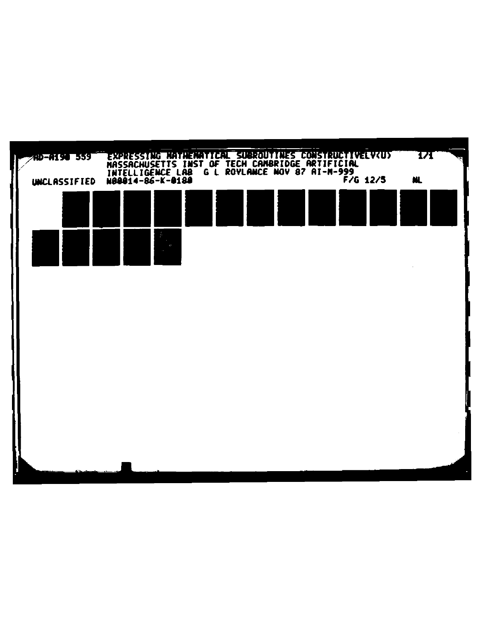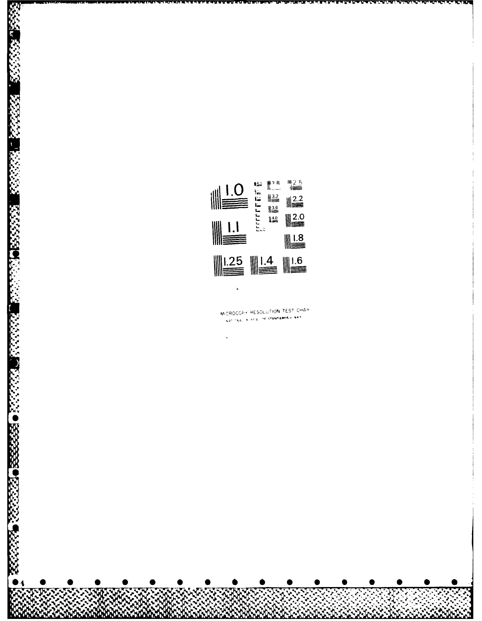

٠,

**A** 

**Bernard** 

**ASSES** 

333333

**BEATING** 

MICROCOPY RESOLUTION TEST CHAR NAL BLAES OF STANDARDS - 963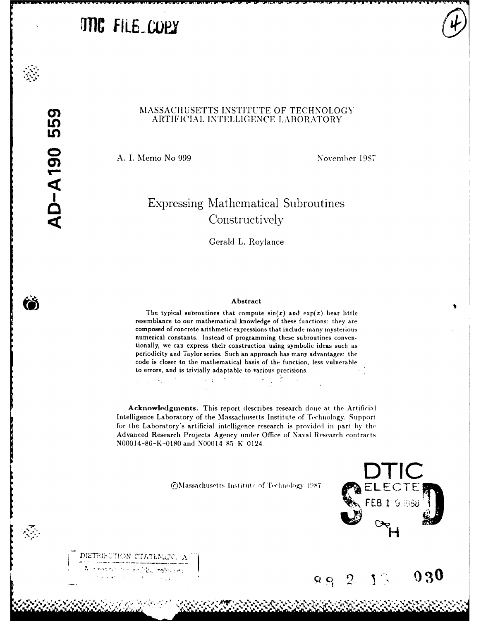# **JTIC FILE COPY**

Ő

 $\sum_{i=1}^{n}$ 

#### MASSACHUSETTS INSTITUTE OF TECHNOLOGY ARTIFICIAL INTELLIGENCE LABORATORY

A. I. Memo No 999

November 1987

 $030$ 

# Expressing Mathematical Subroutines Constructively

Gerald L. Roylance

#### Abstract

The typical subroutines that compute  $sin(x)$  and  $exp(x)$  bear little resemblance to our mathematical knowledge of these functions: they are composed of concrete arithmetic expressions that include many mysterious numerical constants. Instead of programming these subroutines conventionally, we can express their construction using symbolic ideas such as periodicity and Taylor series. Such an approach has many advantages: the code is closer to the mathematical basis of the function, less vulnerable to errors, and is trivially adaptable to various precisions.

Acknowledgments. This report describes research done at the Artificial Intelligence Laboratory of the Massachusetts Institute of Technology. Support for the Laboratory's artificial intelligence research is provided in part by the Advanced Research Projects Agency under Office of Naval Research contracts N00014-86-K-0180 and N00014-85-K-0124

©Massachusetts Institute of Technology 1987

 $Q, Q$ 

 $\mathfrak{D}$ 

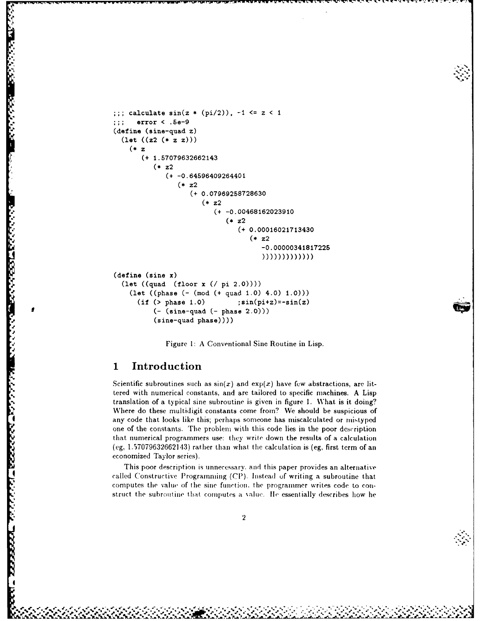```
;;; calculate sin(z * (pi/2)), -1 <= z < 1
;;; error < .5e-9
(define (sine-quad z)
  (let ((z2 (* z z)))
    z
       (+ 1.57079632662143
         (* z2
            (+ -0.64596409264401
               (* z2
                  (+ 0.07969258728630
                     (* z2
                        (+ -0.00468162023910
                           (* z2
                              (+ 0.00016021713430
                                 (* z2
                                    -0.00000341817225
                                    (define (sine x)
  (let ((quad (floor x (/ pi 2.0))))
    (let ((phase (- (mod (+ quad 1.0) 4.0) 1.0)))
     (if (>\) phase 1.0) ;sin(pi+z)=-sin(z)(- (sine-quad (- phase 2.0)))
         (sine-quad phase))))
```
4' Figure **1:** A Conventional Sine Routine in Lisp.

#### **1 Introduction**

**.'2**

**CARL CARD CAR** 

Scientific subroutines such as  $sin(x)$  and  $exp(x)$  have few abstractions, are littered with numerical constants, and are tailored to specific machines. A Lisp translation of a typical sine subroutine is given in figure 1. What is it doing? Where do these multidigit constants come from? We should be suspicious of any code that looks like this; perhaps someone has miscalculated or mistyped one of the constants. The problem with this code lies in the poor description that numerical programmers use: they write down the results of a calculation (eg, 1.57079632662143) rather than what the calculation is (eg, first term of an economized Taylor series).

This poor description is unnecessary, and this paper provides an alternative called Constructive Programming  $\mathcal{C}(\mathbb{P})$ . Instead of writing a subroutine that computes the value of the sine function, the programmer writes code to construct the subroutine that computes a value. He essentially describes how he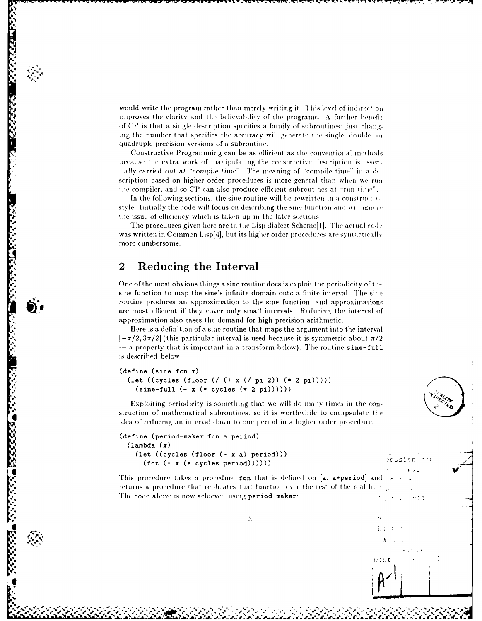would write the program rather than merely writing it. This level of indirection improves the clarity and the believability of the programs. A further benefit of **CP** is that a single description specifies a family of subroutines: just cliaiging the number that specifies the accuracy will generate the single, double.  $cr$ quadruple precision versions of a subroutine.

*)l, ;., . :* **w** *,* ' *-.. , . -r r* **r rr** *, -* **r aF.** *: .-* **-** *t -* **y W** *:.* **h** -i- **.,** -. *i* **-.** -.. *.* r " **:.r"r- w.-x-w-v ,-. r. r, r ' .r -** . .

Constructive Programming can be as efficient as the conventional metliods because the extra work of manipulating the constructive description is essentially carried out at "compile time". The meaning of "compile time" in a description based on higher order procedures is more general than when we run the compiler, and so CP can also produce efficient subroutines at "run time".

In the following sections, the sine routine will be rewritten in a constructive style. Initially the code will focus on describing the sine function and will ignore the issue of efficiency which is taken up in the later sections.

The procedures given here are in the Lisp dialect Scheme[1]. The actual code was written in Common Lisp[4], but its higher order procedures are syntactically more cumbersome. **of the sine function to map the sine function to map the sine function**<br> **of the sine of efficiency which is taken up in the later sections.**<br>
The procedures given here are in the Lisp dialect Scheme[1]. The actual code<br>

#### **2 Reducing the Interval**

**BEERING BEERS** 

**Barbara** 

One of the most obvious things a sine routine does is exploit the periodicity of the routine produces an approximation to the sine function, and approximations are most efficient if they cover only small intervals. Reducing the interval of approximation also eases the demand for high precision arithmetic.

lere is a definition of a sine routine that maps the argument into the interval  $[-\pi/2, 3\pi/2]$  (this particular interval is used because it is symmetric about  $\pi/2$ - a property that is important in a transform below). The routine sine-full is described below.

```
(define (sine-fcn x)
  (let ((cycles (floor (U (+ x (U pi 2)) (* 2 pi)))))
    (sine-full (- x (* cycles (* 2 pi))))))
```
Exploiting periodicity is something that we will do many times in the construction of mathematical subroutines, so it is worthwhile to encapsulate the idea of reducing an interval down to one period in a Iigler order procedire. **UNITELLATE (SIRCRES (Theories (Theories and Theories and Theories and Theories and This procedure fcn takes a procedure fcn takes a procedure fcn that is defined on [a. a+period] and This procedure takes a procedure fcn t** 

```
(define (period-maker fcn a period)
  (lambda (x)
    (let ((cycles (floor (- x a) period))) -
      (fcn (- x (* cycles period))))))
```
returns a procedure that replicates that function over the rest of the real line. **The** *code* above is now achieved using period-maker:

 $\mathbf{3}$ 

"~~~~~ % *,e-".,.'. ,",,P2:,--,* **."""" .' ... <sup>u</sup>**i *"'* **-","** *.'* . **'** ." *e,-.,..* **%. ' ..** - **.** *, .,,.* - ° **-** % *v* **%** *a'* ,%,, %-." **%-** .,,

**1;':,** t

**WE WANTED TO AND THE RESIDENT OF THE RESIDENT OF THE RESIDENT OF THE RESIDENT OF THE RESIDENT OF THE RESIDENT OF THE RESIDENT OF THE RESIDENT OF THE RESIDENT OF THE RESIDENT OF THE RESIDENT OF THE RESIDENT OF THE RESIDENT**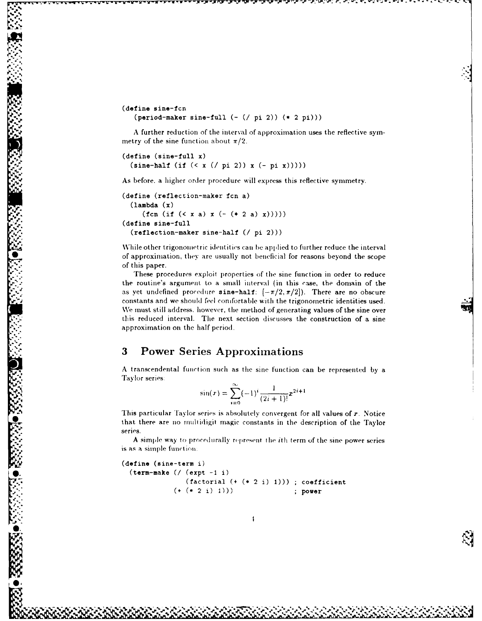(define sine-fcn  $(\text{period–maker sine-full } (- { / pi 2}) ( * 2 pi)))$ 

**A** further reduction of the interval of approximation uses the reflective symmetry of the sine function about  $\pi/2$ .

```
(define (sine-full x)
 (sine-half (if (< x (U pi 2)) x (- pi x)))))
```
**[J, %,**

**,...**

As before, a higher order procedure will express this reflective symmetry.

```
(define (reflection-maker fcn a)
 (lambda (x)
     (fcn (if (< x a) x (- (* 2 a) x)))))
(define sine-full
 (reflection-maker sine-half ( / pi 2)))
```
\While other trigonometric identities can be applied to further reduce the interval of approximation, they are usually not beneficial for reasons beyond the scope of this paper.

These procedures exploit properties of the sine function in order to reduce the routine's argument to a small interval (in this case, the domain of the as yet undefined procedure sine-half:  $[-\pi/2, \pi/2]$ ). There are no obscure constants and we should feel confortable with the trigonometric identities used. We must still address, however, the method of generating values of the sine over this reduced interval. The next section discusses the construction of a sine approximation on the half period.

## **-3** Power Series Approximations

A transcendental function such as the sine function can be represented by a Taylor series:

$$
\sin(x) = \sum_{i=0}^{\infty} (-1)^i \frac{1}{(2i+1)!} x^{2i+1}
$$

This particular Taylor series is absolutely convergent for all values of x. Notice that there are no multidigit magic constants in the description of the Taylor series.

A simple way to procedirally represent lie ith term of the sine power series is as a simple function.

```
(define (sine-term i)
 (term-make UI (expt -1 i)
              (factorial (+ (+ 2 i) 1))); coefficient
           (+ (* 2 i) 1))) ; power
```
**>** . j **k**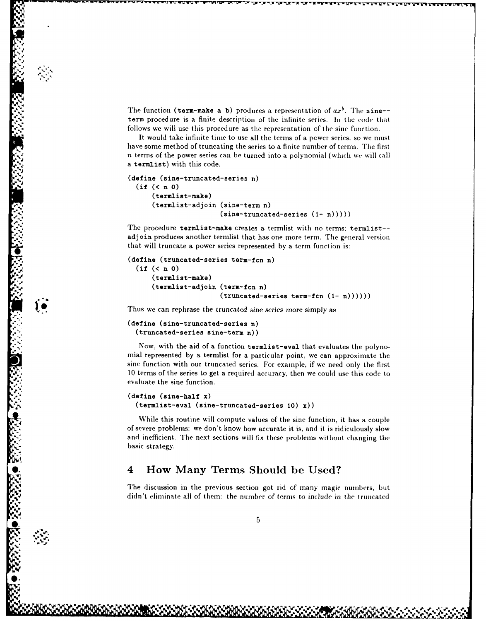The function (term-make a b) produces a representation of  $ax^b$ . The sine-term procedure is a finite description of the infinite series. In the code that follows we will use this procedure as the representation of the sine function.

It would take infinite time to use all the terms of a power series, so we must have some method of truncating the series to a finite number of terms. The first n terms of the power series can be turned into a polynomial (which we will call a termlist) with this code.

```
(define (sine-truncated-series n)
  (if (< n 0)
      (termlist-make)
      (termlist-adjoin (sine-term n)
                        (sine-truncated-series (1 - n)))))
```
The procedure termlist-make creates a termlist with no terms: termlist- adjoin produces another termlist that has one more term. The general version that will truncate a power series represented by a term function is:

```
(define (truncated-series term-fcn n)
  (if (< n 0)
      (termlist-make)
      (termlist-adjoin (term-fen n)
                       (truncated-series term-fcn (I- n))))))
```
Thus we can rephrase the truncated sine *series* more simply as

```
(define (sine-truncated-series n)
 (truncated-series sine-term n))
```
**"-** *"*

Now, with the aid of a function termlist-eval that evaluates the polynomial represented by a termlist for a particular point, we can approximate the sine function with our truncated series. For example, if we need only the first, 10 terms of the series to get a required accuracy, then we could use this code to evaluate the sine function.

```
(define (sine-half x)
 (termlist-eval (sine-truncated-series 10) x))
```
While this routine will compute values of the sine function, it has a couple of severe problems: we don't know how accurate it is, and it. is ridiculously slow and inefficient. The next sections will fix these problems without changing the basic strategy.

### **• °** 4 How Many Terms Should be Used?

**\_ S." -, ., -,. . . . ,/ -... %**

The discussion in the previous section got rid of many magic numbers, but didn't eliminate all of them: the number of terms to include in the truncated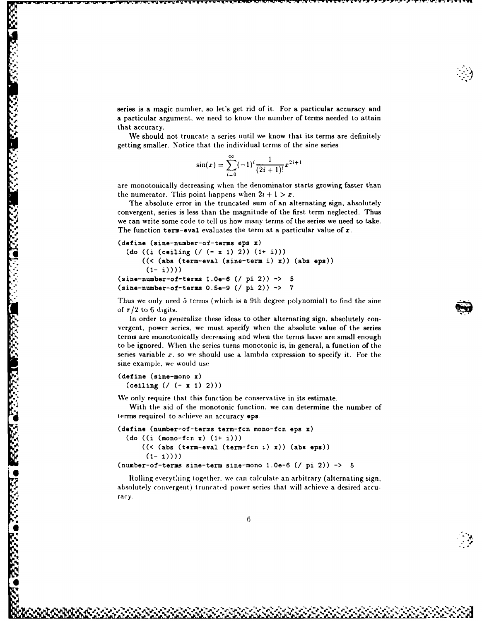series is a magic number, so let's get rid of it. For a particular accuracy and **.** a particular argument, we need to know the number of terms needed to attain that accuracy.

We should not truncate a series until we know that its terms are definitely getting smaller. Notice that the individual terms of the sine series

$$
\sin(x) = \sum_{i=0}^{\infty} (-1)^i \frac{1}{(2i+1)!} x^{2i+1}
$$

are monotonically decreasing when the denominator starts growing faster than the numerator. This point happens when  $2i + 1 > x$ .

The absolute error in the truncated sum of an alternating sign, absolutely convergent, series is less than the magnitude of the first term neglected. Thus we can write some code to tell us how many terms of the series we need to take. The function term-eval evaluates the term at a particular value of *x.*

```
(define (sine-number-of-terms eps x)
  * (do ((i (ceiling (U (- x 1) 2)) (1+ i)))
      ((< (abs (term-eval (sine-term i) x)) (abs eps))
       (1- i)))
(sine-number-of-terms 1.0e-6 (/ pi 2)) -> 5
(sine-number-of-terms O.Se-9 (/ pi 2)) -> 7
```
Thus we only need 5 terms (which is a 9th degree polynomial) to find the sine of  $\pi/2$  to 6 digits.

In order to generalize these ideas to other alternating sign, absolutely convergent, power series, we must specify when the absolute value of the series terms are monotonically decreasing and when the terms have are small enough to be ignored. When the series turns monotonic is, in general, a function of the series variable *x.* so we should use a lambda expression to specify it. For the sine example, we would use

```
(define (sine-mono x)
  *.. (ceiling (U (- x 1) 2)))
```
**Vti.**

**6**

We only require that this function be conservative in its estimate.

With the aid of the monotonic function, we can determine the number of terms required to achieve an accuracy eps.

```
(define (number-of-terms term-fcn mono-fcn eps x)
  (do ((i (mono-fcn x) (1+ i)))
      ((\langle (abs (term-eval (term-fcn i) x)) (abs eps))
       (1- i))))
```
 $(number-of-terms sine-term sine-mono 1.0e-6 ( / pi 2))$   $\rightarrow$  5

Rolling everything together, we can calculate an arbitrary (alternating sign, absolutely convergent) truncated power series that will achieve a desired accuracy.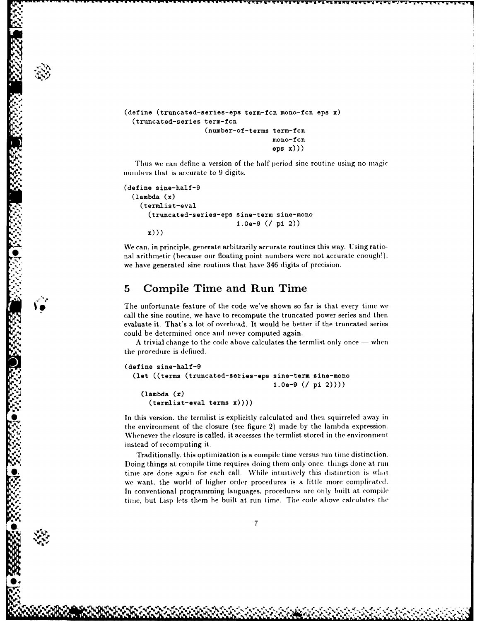```
(define (truncated-series-eps term-fen mono-fcn eps x)
  (truncated-series term-fcn
                    (number-of-terms term-fcn
                                     mono-fcn
                                     eps x)))
```
**%.** Thus we can define a version of the half period sine routine using no magic numbers that is accurate to 9 digits.

```
(define sine-half-9
  (\texttt{lambda}(x))(termlist-eval
      ." (truncated-series-eps sine-term sine-mono
                               1.0e-9 ( pi 2))
      x))
```
We can, in principle, generate arbitrarily accurate routines this way. Using ratio nal arithmetic (because our floating point numbers were not accurate enough!), we have generated sine routines that have 346 digits of precision.

#### **5** Compile Time and Run Time

**% .x)))**

The unfortunate feature of the code we've shown so far is that every time we call the sine routine, we have to recompute the truncated power series and then evaluate it. That's a lot of overhead. It would be better if the truncated series could be determined once and never computed again.

A trivial change to the code above calculates the termlist only once  $-$  when the procedure is defined.

```
(define sine-half-9
  (let ((terms (truncated-series-eps sine-term sine-mono
                                      1.0e-9 (/ pi 2))))
    (lambda (x)
      (termlist-eval terms x))))
```
In this version, the termlist is explicitly calculated and then squirreled away in the environment of the closure (see figure 2) made by the lambda expression. Whenever the closure is called, it accesses the termlist stored in the environment instead of recomputing it.

Traditionally. this optimization is a compile time versus run time distinction. )oing things at compile time requires doing them only once: things (lone *at.* run time are done again for each call. While intuitively this distinction is what we want, the world of higher order procedures is a little more complicatcd. In conventional programming languages, procedures are only built at compile time, but Lisp lets them be built, at run time. The code above calculates the

**S. '"** ' - ... X " . .. - .-. . j . % ,. .,.. , . **,** , . . . . . ,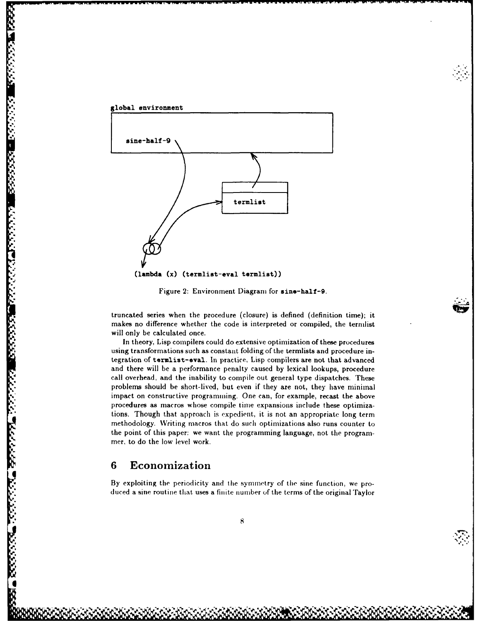



Figure 2: Environment Diagram for sine-half-9.

truncated series when the procedure (closure) is defined (definition time); it makes no difference whether the code is interpreted or compiled, the ternlist will only be calculated once.

In theory, Lisp compilers could do extensive optimization of these procedures truncated series when the procedure (closure) is defined (definition time); it<br>makes no difference whether the code is interpreted or compiled, the termlist<br>will only be calculated once.<br>In theory, Lisp compilers could do tegration of termlist-eval. In practice, Lisp compilers are not that advanced and there will be a performance penalty caused by lexical lookups, procedure call overhead, and the inability to compile out general type dispatches. These problems should be short-lived, but even if they are not, they have minimal impact on constructive programming. One can, for example, recast the above procedures as macros whose compile time expansions include these optimizations. Though that approach is expedient, it is not an appropriate long term methodology. Writing macros that do such optimizations also runs counter to the point of this paper: we want the programming language, not the programmer, to do the low level work.

#### **6** Economization

**\*0,**

By exploiting the periodicity and the symmetry of the sine function, we produced a sine routine that uses a finite number of the terms of the original Taylor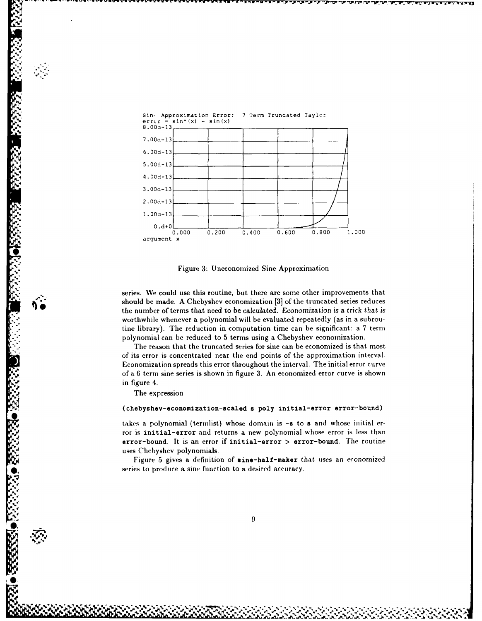

Figure 3: Uneconomized Sine Approximation

series. We could use this routine, but there are some other improvements that should be made. **A** Chebyshev economization **[3]** of the truncated series reduces the number of terms that need to be calculated. Economization is a trick that is worthwhile whenever a polynomial will be evaluated repeatedly (as in a subroutine library). The reduction in computation time can be significant: a 7 term polynomial can be reduced to 5 terms using a Chebyshev economization.

The reason that the truncated series for sine can be economized is that most of its error is concentrated near the end points of the approximation interval. Economization spreads this error throughout the interval. The initial error curve of a 6 term sine series is shown in figure 3. An economized error curve is shown in figure 4.

The expression

 $\cdot$  .

**PREDICT** 

#### (chebyshev-economization-scaled s poly initial-error error-bound)

takes a polynomial (termlist) whose domain is **-s** to **s** and whose initial error is initial-error and returns a new polynomial whose error is less than error-bound. It is an error if initial-error > error-bound. The routine uses Chebyshev polynomials.

Figure 5 gives a definition of sine-half-maker that uses an economized series to produce a sine function to a desired accuracy.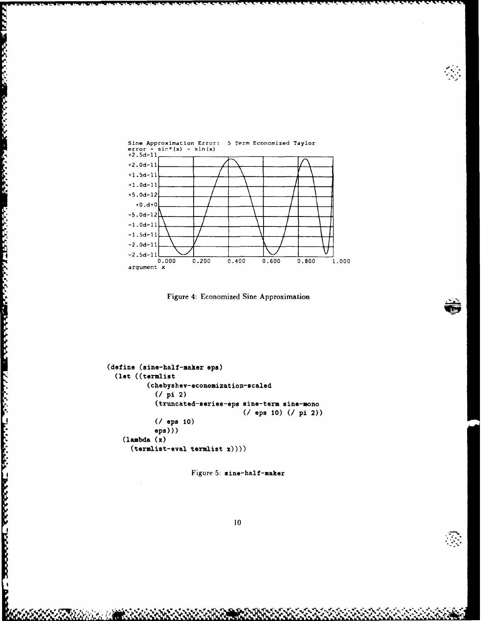

**PERSONAL PROPERTY AND PROPERTY AND ARRAY AND ARRAY AND ARRAY AND ARRAY AND ARRAY AND ARRAY AND ARRAY** 

**ANAL ARANG ARAWAN REPORT ARANG ANG KABABASAN SA PAGKATAN SA PAGKATAN** 



```
(define (sine-half-maker eps)
  (let ((termlist
           (chebyshev-economization-scaled
             (7 \text{ pi } 2)(truncated-series-eps sine-term sine-mono
                                      ( / eps 10) ( / pi 2))
             (7 eps 10)
             eps))
    (\texttt{lambda}(x))(terminalist-eval termlist x))))
```
Figure 5: sine-half-maker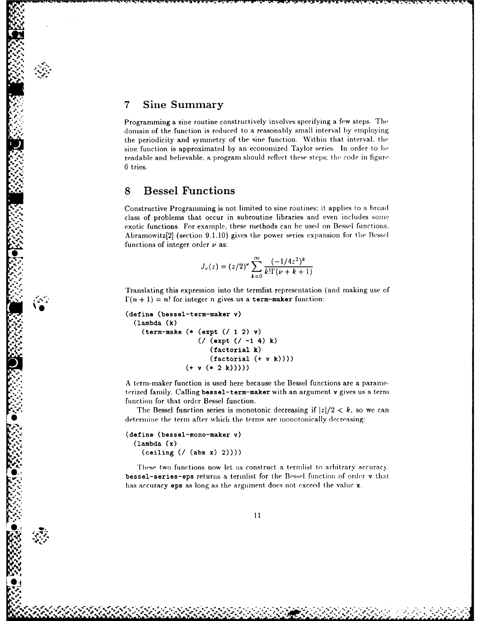#### **<sup>7</sup>**Sine Summary

*N*

-!'

Programming a sine routine constructively involves specifying a few steps. *The* domain of the function is reduced to a reasonably small interval by employing the periodicity and symmetry of the sine function. Within that interval, the sine function is approximated by an economized Taylor series. In order to **be** readable and believable, a program should reflect these steps; the code in figure 6 tries.

### **8** Bessel Functions

Constructive Programming is not limited to sine routines; it applies to a broad class of problems that occur in subroutine libraries and even includes some exotic functions. For example, these methods can be used on Bessel functions. Abramowitz[2] (section 9.1.10) gives the power series expansion for the Bessel functions of integer order *v* as:

$$
J_{\nu}(z) = (z/2)^{\nu} \sum_{k=0}^{\infty} \frac{(-1/4z^{2})^{k}}{k!\Gamma(\nu+k+1)}
$$

Translating this expression into the termlist representation (and making use of  $\Gamma(n + 1) = n!$  for integer *n* gives us a term-maker function:

```
(define (bessel-term-maker v)
  (lambda (k)
    (\text{term-make } (* (expt (/ 1 2) v))( (expt (/ -1 4) k)
                      (factorial k)
                       (factorial (+ v k))))
                (+ v (* 2 k)))))
```
A term-maker function is used here because the Bessel functions are a parameterized family. Calling bessel-term-maker with an argument v gives us a term function for that order Bessel function.

The Bessel function series is monotonic decreasing if  $|z|/2 < k$ , so we can determine the term after which the terms are monotonically decreasing:

```
(define (bessel-mono-maker v)
  (lambda (x)
    (ceiling ( (abs x) 2))))
```
These two functions now let us construct a termlist to arbitrary accuracy. bessel-series-eps returns a termlist for the Bessel function of order v that has accuracy eps as long as the argument does not exceed the value x.

**S.!** % **,% " v** " **.% %** "' **"" "%** % **" '% '%** " " **""** ""2 **" "'"** ' ' "% " '-2' ' **"** . . . **"**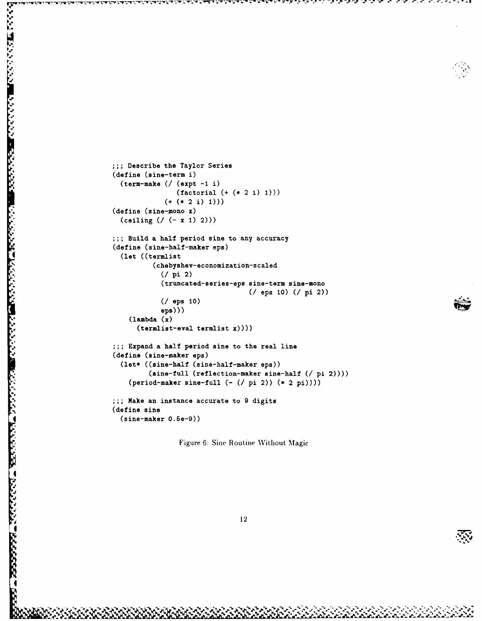```
;; Describe the Taylor Series
(define (sine-term i)
  (term-make (U (expt -1 i)
                (factorial (+ (* 2 i) 1)))
             (+ (* 2 i) 1)))
(define (sine-mono x)
  (ceiling (U (- x 1) 2)))
;; Build a half period sine to any accuracy
(define (sine-half-maker eps)
  4 (let ((termlist
          (chebyshev-economization-scaled
            (U pi 2)
            (truncated-series-eps sine-term sine-mono
                                  * (I eps 10) (I pi 2))
            (/ eps 10)
            eps)))
    (lambda (x)
      (termlist-eval termlist x))))
;;; Expand a half period sine to the real line
(define (sine-maker eps)
  (let* ((sine-half (sine-half-maker eps))
         (sine-full (reflection-maker sine-half (/ pi 2))))
    (period-maker sine-full (- (/ pi 2)) (* 2 pi)));;; Make an instance accurate to 9 digits
(define sine
  4 (sine-maker 0.Se-9))
```
Figure 6: Sine Routine Without Magic

**I**

**REPORT OF A PROPERTY OF A PROPERTY OF A PROPERTY OF A PROPERTY OF A PROPERTY OF A PROPERTY OF A PROPERTY OF A** 

'p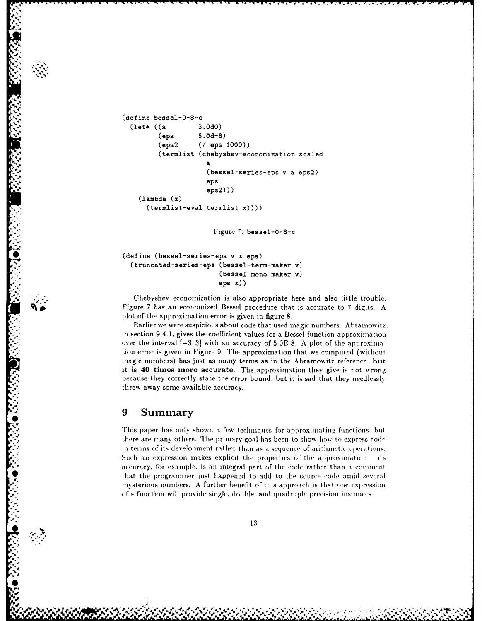```
(define bessel-0-8-c
 (let* ((a 3.OdO)
        (eps 5.Od-8)
        (eps2 (U eps 1000))
        (termlist (chebyshev-economization-scaled
                    a
                    (bessel-series-eps v a eps2)
                    eps
                    eps2)))
   (lambda x)
     (termlist-eval termlist x))))
```
Figure 7: bessel-0-8-c

```
*! (define (bessel-series-eps v x eps)
  (truncated-series-eps (bessel-term-maker v)
                         (bessel-mono-maker v)
                         eps x))
```
Chebyshev economization is also appropriate here and also little trouble. **N%** Figure 7 has an economized Bessel procedure that is accurate to 7 digits. A plot of the approximation error is given in figure 8.

Earlier we were suspicious about code that used magic numbers. Abramowitz. in section 9.4.1, gives the coefficient values for a Bessel function approximation over the interval [-3,3] with an accuracy of 5.OE-8. A plot of the approximation error is given in Figure 9. The approximation that we computed (without magic numbers) has just as many terms as in the Abramowitz reference, but **it is** 40 **times more** accurate. The approximation they give is not wrong because they correctly state the error bound, but it is sad that they needlessly threw away some available accuracy.

#### **9 Summary**

**4W,**

**0**

*Lv~'i 10* 41 **MW5-: .**

This paper has only shown a few techniques for approximating functions, but there are many others. The primary goal has been to show how to express code in terms of its development rather tlhan as a sequence of arithmetic operations. Such an expression makes explicit the properties of the approximation **-** its accuracy, for example, is an integral part of the code rather than a comment that the programmer just happened to add to the source code amid several mysterious numbers. A further benefit of this approach is that one expression of a function will provide single, double, and quadruple precision instances.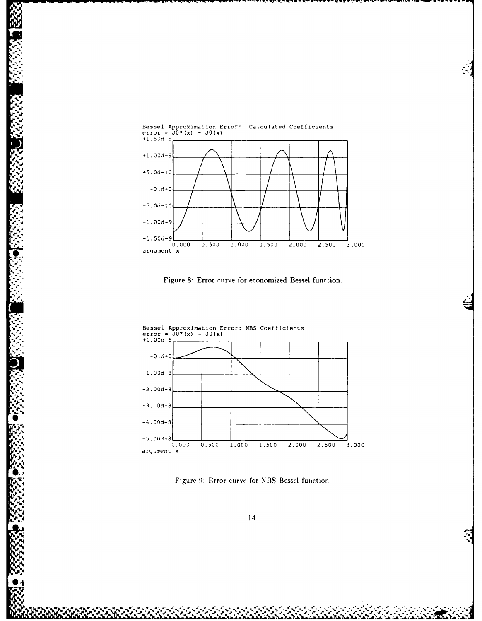

**%**

**S:-4.0d-8**

"1

Figure **8:** Error curve for economized Bessel function.



Figure 9: Error curve for NBS Bessel function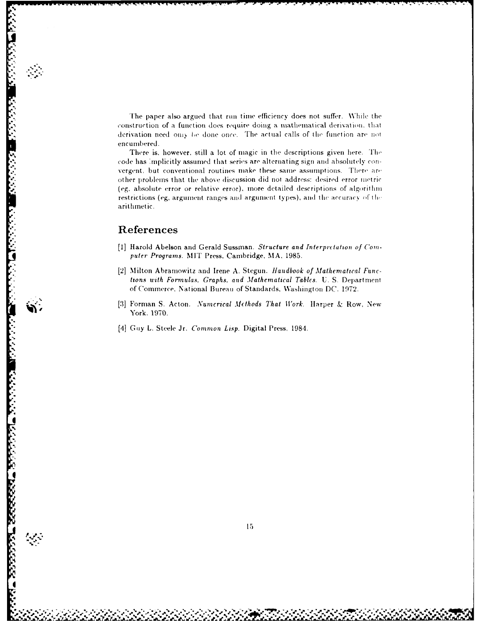The paper also argued that **run** time efficiency does not **suffer.** While the construction of a function **does require** doing a mathematical **derivalion,** that derivation need *on? t,e* done once. The actual calls of **the** fiuction are not encumbered.

There is, however, still a lot of magic in the descriptions given here. The code has :implicitly assumed that series are alternating sign **and** absolutely convergent, but conventional routines make these same assumptions. There are other problems that the **above** discussion (lid not address: desired error **metric (eg,** al)solute error or relative error), more detailed descriptions of **algrithmi** restrictions **(eg,** argument ranges and argument types), and **the** accuracy **f ti,** arithmetic.

#### **References**

**\*'**

**CONTRACTOR** 

**%**

**.0%N** *e%* 

- [1] Harold Abelson and Gerald Sussman. *Structure and Interpretation of Computer Programs.* **MIT** Press, Cambridge, **MA, 1985.**
- **[2]** Milton Abramowitz and Irene **A.** Stegun. *landbook of Mathematical Functions with Formulas, Graphs, and Mathematical Tables.* **U. S.** Department of Commerce, National Bureau of Standards, Washington **DC. 1972.**
- **[3]** Forman **S.** Acton. *Numcrical Methods That Work.* Harper **&** Row, New **~York. 1970.**
- [4] Guy L. Steele Jr. *Common Lisp.* Digital Press, 1984.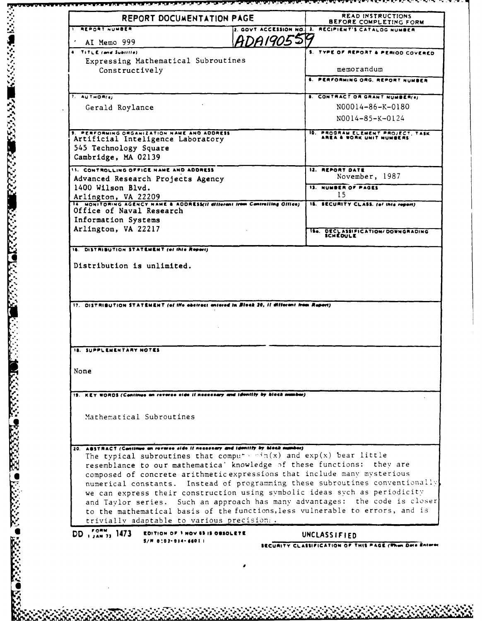| REPORT DOCUMENTATION PAGE                                                                                                                                                                          | <b>READ INSTRUCTIONS</b><br>BEFORE COMPLETING FORM                                         |
|----------------------------------------------------------------------------------------------------------------------------------------------------------------------------------------------------|--------------------------------------------------------------------------------------------|
| <b>I REPORT NUMBER</b>                                                                                                                                                                             | 2. GOVT ACCESSION NO. 1. RECIPIENT'S CATALOG NUMBER                                        |
| AI Memo 999                                                                                                                                                                                        | <b>ADA1905519</b>                                                                          |
| TITLE (and Subtitle)                                                                                                                                                                               | <b>S. TYPE OF REPORT &amp; PERIOD COVERED</b>                                              |
| Expressing Mathematical Subroutines                                                                                                                                                                |                                                                                            |
| Constructively                                                                                                                                                                                     | memorandum                                                                                 |
|                                                                                                                                                                                                    | 6. PERFORMING ORG, REPORT NUMBER                                                           |
| 7. AUTHOR(e)                                                                                                                                                                                       | <b>8. CONTRACT OR GRANT NUMBER(8)</b>                                                      |
| Gerald Roylance                                                                                                                                                                                    | N00014-86-K-0180                                                                           |
|                                                                                                                                                                                                    | $NO014 - 85 - K - 0124$                                                                    |
| <b>3. PERFORMING ORGANIZATION NAME AND ADDRESS</b>                                                                                                                                                 | 10. PROGRAM ELEMENT PROJECT, TASK<br>AREA & WORK UNIT NUMBERS                              |
| Artificial Inteligence Laboratory<br>545 Technology Square                                                                                                                                         |                                                                                            |
| Cambridge, MA 02139                                                                                                                                                                                |                                                                                            |
| <b>11. CONTROLLING OFFICE NAME AND ADDRESS</b>                                                                                                                                                     | 12. REPORT DATE                                                                            |
| Advanced Research Projects Agency                                                                                                                                                                  | November, 1987                                                                             |
| 1400 Wilson Blvd.                                                                                                                                                                                  | <b>13. NUMBER OF PAGES</b>                                                                 |
| Arlington, VA 22209<br>14 MONITORING AGENCY NAME & ADDRESS(II dillerent from Centrelling Office)                                                                                                   | 15                                                                                         |
| Office of Naval Research                                                                                                                                                                           | 18. SECURITY CLASS. (of this regart)                                                       |
| Information Systems                                                                                                                                                                                |                                                                                            |
| Arlington, VA 22217                                                                                                                                                                                |                                                                                            |
|                                                                                                                                                                                                    | 154. DECLASSIFICATION/DOWNGRADING                                                          |
|                                                                                                                                                                                                    | 17. DISTRIBUTION STATEMENT (of the abstract antered in Block 20, if different from Report) |
|                                                                                                                                                                                                    |                                                                                            |
|                                                                                                                                                                                                    |                                                                                            |
|                                                                                                                                                                                                    |                                                                                            |
|                                                                                                                                                                                                    |                                                                                            |
| KEY WORDS (Continue on revorce cide if necessary and identify by block number)                                                                                                                     |                                                                                            |
|                                                                                                                                                                                                    |                                                                                            |
| Mathematical Subroutines                                                                                                                                                                           |                                                                                            |
|                                                                                                                                                                                                    |                                                                                            |
|                                                                                                                                                                                                    | The typical subroutines that compute $\sin(x)$ and $\exp(x)$ bear little                   |
|                                                                                                                                                                                                    | resemblance to our mathematica' knowledge of these functions: they are                     |
|                                                                                                                                                                                                    | composed of concrete arithmetic expressions that include many mysterious                   |
|                                                                                                                                                                                                    | numerical constants. Instead of programming these subroutines conventionally               |
| 16. DISTRIBUTION STATEMENT (et this Report).<br>Distribution is unlimited.<br>18. SUPPLEMENTARY NOTES<br>None<br>20. ABSTRACT (Continue on reverse aide if necessary and identify by block number) | we can express their construction using symbolic ideas sych as periodicity                 |
|                                                                                                                                                                                                    | and Taylor series. Such an approach has many advantages: the code is closer                |
|                                                                                                                                                                                                    | to the mathematical basis of the functions, less vulnerable to errors, and is              |
| trivially adaptable to various precision:.<br>DD $_{1,4N}^{707M}$ , 1473<br>EDITION OF 1 NOV 43 IS OBSOLETE                                                                                        | UNCLASSIFIED                                                                               |

RANA DE LE CONSTANTO DE LA RECONSTANCIÓN DE LA CONSTANTINA DE LA CONSTANTINA DE LA CONSTANTINA DE LA CONSTANTI<br>LA

<u>لا يستوفى المركز المركز المركز المركز المركز المركز المركز المركز المركز المركز المركز المركز المركز المركز ال</u>